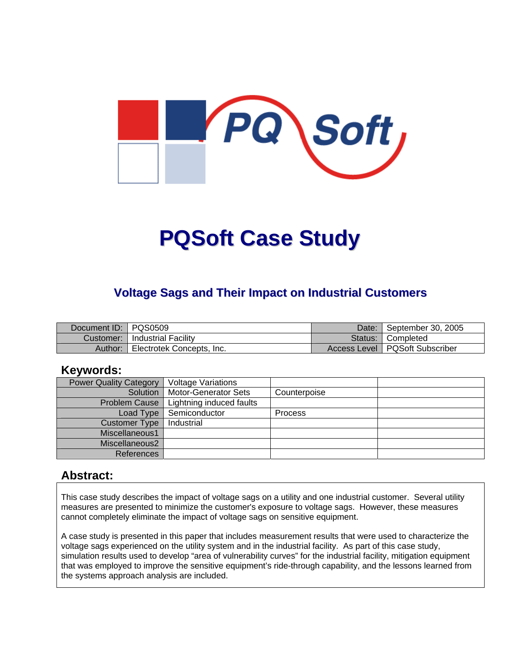

# **PQSoft Case Study**

## **Voltage Sags and Their Impact on Industrial Customers**

| Document ID:   PQS0509 |                            | Date:   | September 30, 2005               |
|------------------------|----------------------------|---------|----------------------------------|
| Customer:              | <b>Industrial Facility</b> | Status: | <sup>1</sup> Completed           |
| Author:                | Electrotek Concepts, Inc.  |         | Access Level   PQSoft Subscriber |

#### **Keywords:**

| <b>Power Quality Category</b> | <b>Voltage Variations</b> |                |  |
|-------------------------------|---------------------------|----------------|--|
| Solution                      | Motor-Generator Sets      | Counterpoise   |  |
| <b>Problem Cause</b>          | Lightning induced faults  |                |  |
| Load Type                     | Semiconductor             | <b>Process</b> |  |
| <b>Customer Type</b>          | Industrial                |                |  |
| Miscellaneous1                |                           |                |  |
| Miscellaneous2                |                           |                |  |
| References                    |                           |                |  |

#### **Abstract:**

This case study describes the impact of voltage sags on a utility and one industrial customer. Several utility measures are presented to minimize the customer's exposure to voltage sags. However, these measures cannot completely eliminate the impact of voltage sags on sensitive equipment.

A case study is presented in this paper that includes measurement results that were used to characterize the voltage sags experienced on the utility system and in the industrial facility. As part of this case study, simulation results used to develop "area of vulnerability curves" for the industrial facility, mitigation equipment that was employed to improve the sensitive equipment's ride-through capability, and the lessons learned from the systems approach analysis are included.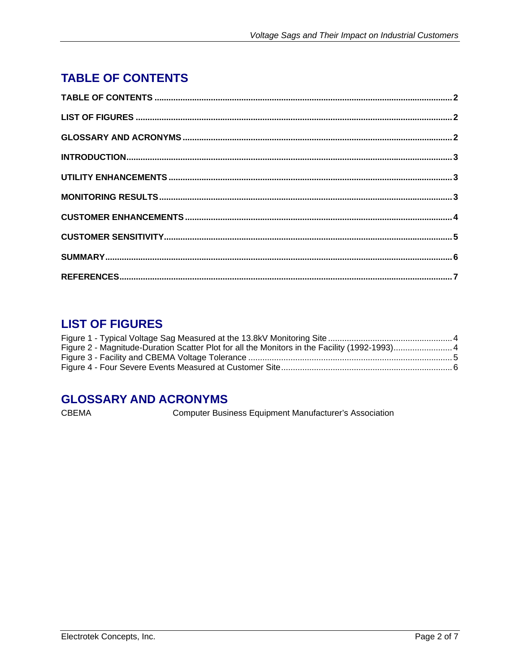# <span id="page-1-0"></span>**TABLE OF CONTENTS**

# **LIST OF FIGURES**

# **GLOSSARY AND ACRONYMS**

**CBEMA** 

Computer Business Equipment Manufacturer's Association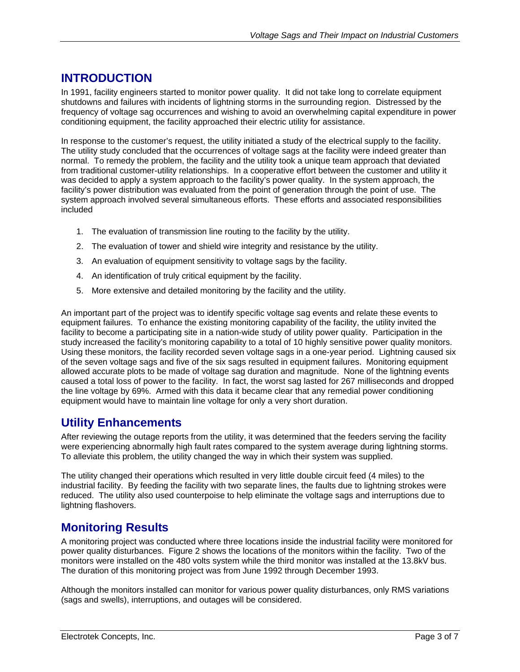# <span id="page-2-0"></span>**INTRODUCTION**

In 1991, facility engineers started to monitor power quality. It did not take long to correlate equipment shutdowns and failures with incidents of lightning storms in the surrounding region. Distressed by the frequency of voltage sag occurrences and wishing to avoid an overwhelming capital expenditure in power conditioning equipment, the facility approached their electric utility for assistance.

In response to the customer's request, the utility initiated a study of the electrical supply to the facility. The utility study concluded that the occurrences of voltage sags at the facility were indeed greater than normal. To remedy the problem, the facility and the utility took a unique team approach that deviated from traditional customer-utility relationships. In a cooperative effort between the customer and utility it was decided to apply a system approach to the facility's power quality. In the system approach, the facility's power distribution was evaluated from the point of generation through the point of use. The system approach involved several simultaneous efforts. These efforts and associated responsibilities included

- 1. The evaluation of transmission line routing to the facility by the utility.
- 2. The evaluation of tower and shield wire integrity and resistance by the utility.
- 3. An evaluation of equipment sensitivity to voltage sags by the facility.
- 4. An identification of truly critical equipment by the facility.
- 5. More extensive and detailed monitoring by the facility and the utility.

An important part of the project was to identify specific voltage sag events and relate these events to equipment failures. To enhance the existing monitoring capability of the facility, the utility invited the facility to become a participating site in a nation-wide study of utility power quality. Participation in the study increased the facility's monitoring capability to a total of 10 highly sensitive power quality monitors. Using these monitors, the facility recorded seven voltage sags in a one-year period. Lightning caused six of the seven voltage sags and five of the six sags resulted in equipment failures. Monitoring equipment allowed accurate plots to be made of voltage sag duration and magnitude. None of the lightning events caused a total loss of power to the facility. In fact, the worst sag lasted for 267 milliseconds and dropped the line voltage by 69%. Armed with this data it became clear that any remedial power conditioning equipment would have to maintain line voltage for only a very short duration.

## **Utility Enhancements**

After reviewing the outage reports from the utility, it was determined that the feeders serving the facility were experiencing abnormally high fault rates compared to the system average during lightning storms. To alleviate this problem, the utility changed the way in which their system was supplied.

The utility changed their operations which resulted in very little double circuit feed (4 miles) to the industrial facility. By feeding the facility with two separate lines, the faults due to lightning strokes were reduced. The utility also used counterpoise to help eliminate the voltage sags and interruptions due to lightning flashovers.

## **Monitoring Results**

A monitoring project was conducted where three locations inside the industrial facility were monitored for power quality disturbances. Figure 2 shows the locations of the monitors within the facility. Two of the monitors were installed on the 480 volts system while the third monitor was installed at the 13.8kV bus. The duration of this monitoring project was from June 1992 through December 1993.

Although the monitors installed can monitor for various power quality disturbances, only RMS variations (sags and swells), interruptions, and outages will be considered.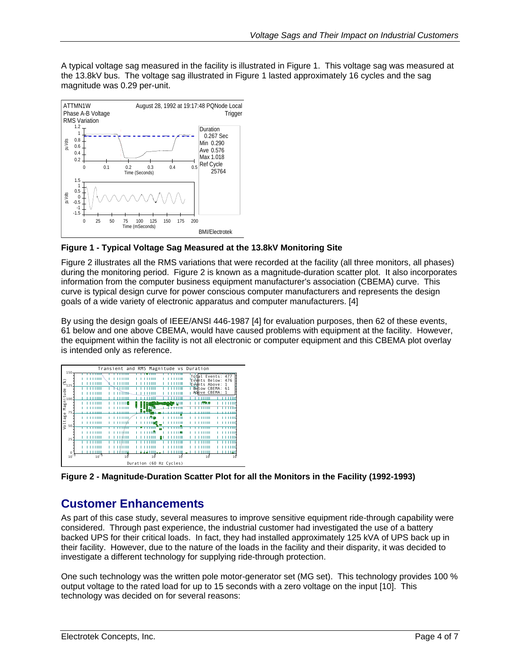<span id="page-3-0"></span>A typical voltage sag measured in the facility is illustrated in [Figure 1.](#page-3-1) This voltage sag was measured at the 13.8kV bus. The voltage sag illustrated in [Figure 1](#page-3-1) lasted approximately 16 cycles and the sag magnitude was 0.29 per-unit.

<span id="page-3-1"></span>

**Figure 1 - Typical Voltage Sag Measured at the 13.8kV Monitoring Site** 

[Figure 2](#page-3-2) illustrates all the RMS variations that were recorded at the facility (all three monitors, all phases) during the monitoring period. [Figure 2](#page-3-2) is known as a magnitude-duration scatter plot. It also incorporates information from the computer business equipment manufacturer's association (CBEMA) curve. This curve is typical design curve for power conscious computer manufacturers and represents the design goals of a wide variety of electronic apparatus and computer manufacturers. [4]

By using the design goals of IEEE/ANSI 446-1987 [4] for evaluation purposes, then 62 of these events, 61 below and one above CBEMA, would have caused problems with equipment at the facility. However, the equipment within the facility is not all electronic or computer equipment and this CBEMA plot overlay is intended only as reference.

<span id="page-3-2"></span>

**Figure 2 - Magnitude-Duration Scatter Plot for all the Monitors in the Facility (1992-1993)** 

# **Customer Enhancements**

As part of this case study, several measures to improve sensitive equipment ride-through capability were considered. Through past experience, the industrial customer had investigated the use of a battery backed UPS for their critical loads. In fact, they had installed approximately 125 kVA of UPS back up in their facility. However, due to the nature of the loads in the facility and their disparity, it was decided to investigate a different technology for supplying ride-through protection.

One such technology was the written pole motor-generator set (MG set). This technology provides 100 % output voltage to the rated load for up to 15 seconds with a zero voltage on the input [10]. This technology was decided on for several reasons: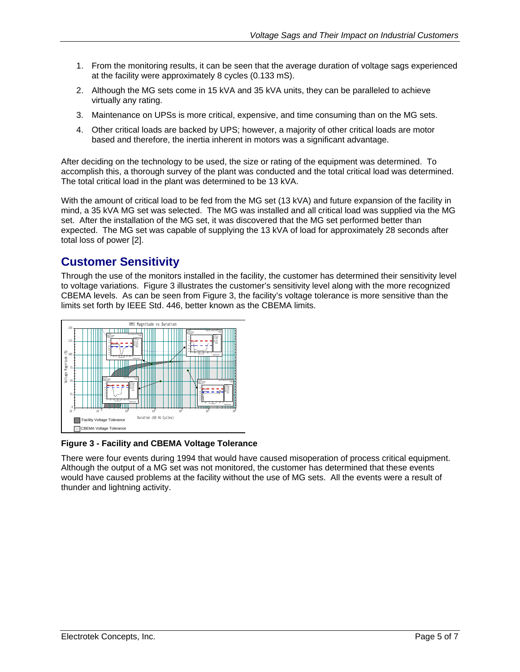- <span id="page-4-0"></span>1. From the monitoring results, it can be seen that the average duration of voltage sags experienced at the facility were approximately 8 cycles (0.133 mS).
- 2. Although the MG sets come in 15 kVA and 35 kVA units, they can be paralleled to achieve virtually any rating.
- 3. Maintenance on UPSs is more critical, expensive, and time consuming than on the MG sets.
- 4. Other critical loads are backed by UPS; however, a majority of other critical loads are motor based and therefore, the inertia inherent in motors was a significant advantage.

After deciding on the technology to be used, the size or rating of the equipment was determined. To accomplish this, a thorough survey of the plant was conducted and the total critical load was determined. The total critical load in the plant was determined to be 13 kVA.

With the amount of critical load to be fed from the MG set (13 kVA) and future expansion of the facility in mind, a 35 kVA MG set was selected. The MG was installed and all critical load was supplied via the MG set. After the installation of the MG set, it was discovered that the MG set performed better than expected. The MG set was capable of supplying the 13 kVA of load for approximately 28 seconds after total loss of power [2].

## **Customer Sensitivity**

Through the use of the monitors installed in the facility, the customer has determined their sensitivity level to voltage variations. [Figure 3](#page-4-1) illustrates the customer's sensitivity level along with the more recognized CBEMA levels. As can be seen from [Figure 3,](#page-4-1) the facility's voltage tolerance is more sensitive than the limits set forth by IEEE Std. 446, better known as the CBEMA limits.

<span id="page-4-1"></span>

**Figure 3 - Facility and CBEMA Voltage Tolerance** 

There were four events during 1994 that would have caused misoperation of process critical equipment. Although the output of a MG set was not monitored, the customer has determined that these events would have caused problems at the facility without the use of MG sets. All the events were a result of thunder and lightning activity.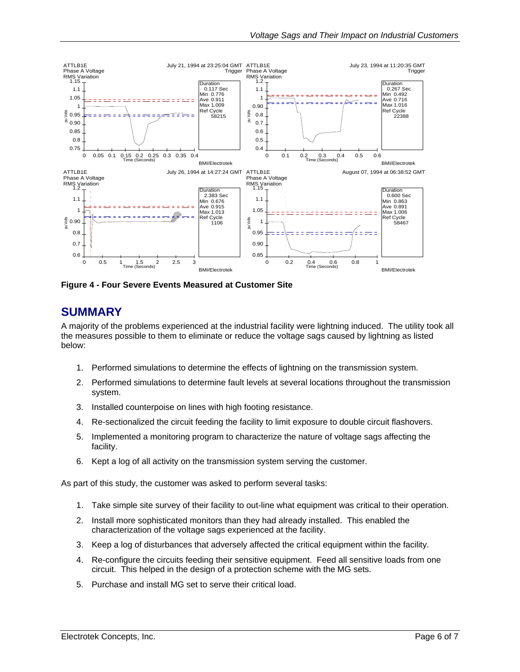<span id="page-5-0"></span>

**Figure 4 - Four Severe Events Measured at Customer Site** 

#### **SUMMARY**

A majority of the problems experienced at the industrial facility were lightning induced. The utility took all the measures possible to them to eliminate or reduce the voltage sags caused by lightning as listed below:

- 1. Performed simulations to determine the effects of lightning on the transmission system.
- 2. Performed simulations to determine fault levels at several locations throughout the transmission system.
- 3. Installed counterpoise on lines with high footing resistance.
- 4. Re-sectionalized the circuit feeding the facility to limit exposure to double circuit flashovers.
- 5. Implemented a monitoring program to characterize the nature of voltage sags affecting the facility.
- 6. Kept a log of all activity on the transmission system serving the customer.

As part of this study, the customer was asked to perform several tasks:

- 1. Take simple site survey of their facility to out-line what equipment was critical to their operation.
- 2. Install more sophisticated monitors than they had already installed. This enabled the characterization of the voltage sags experienced at the facility.
- 3. Keep a log of disturbances that adversely affected the critical equipment within the facility.
- 4. Re-configure the circuits feeding their sensitive equipment. Feed all sensitive loads from one circuit. This helped in the design of a protection scheme with the MG sets.
- 5. Purchase and install MG set to serve their critical load.